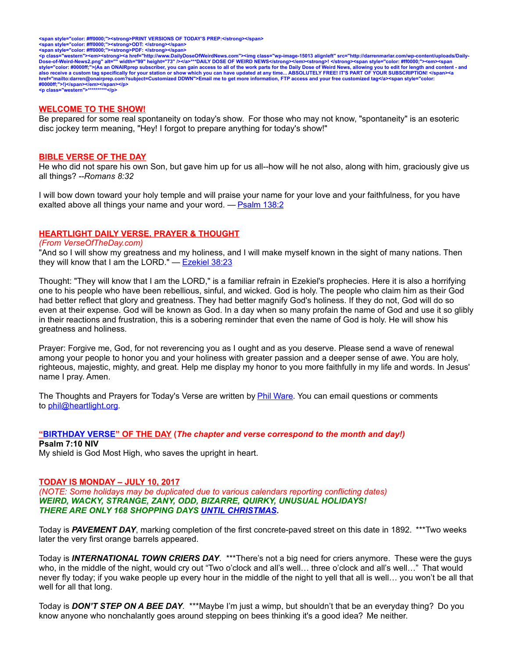<span style="color: #ff0000;"><strong>PRINT VERSIONS OF TODAY'S PREP:</strong></span><br><span style="color: #ff0000;"><strong>ODT: </strong></span><br><span style="color: #ff0000;"><strong>PDF: </strong></span>

<p class="western"><em><strong><a href="http://www.DailyDoseOfWeirdNews.com"><img class="wp-image-15013 alignleft" src="http://darrenmarlar.com/wp-content/uploads/Daily-<br>Dose-of-Weird-News2.png" alt="" width="99" height=" **#0000ff;">!)</span></em></span></p> <p class="western">\*\*\*\*\*\*\*\*\*\*</p>**

#### **WELCOME TO THE SHOW!**

Be prepared for some real spontaneity on today's show. For those who may not know, "spontaneity" is an esoteric disc jockey term meaning, "Hey! I forgot to prepare anything for today's show!"

#### **BIBLE VERSE OF THE DAY**

He who did not spare his own Son, but gave him up for us all--how will he not also, along with him, graciously give us all things? *--Romans 8:32*

I will bow down toward your holy temple and will praise your name for your love and your faithfulness, for you have exalted above all things your name and your word.  $-$  [Psalm 138:2](http://www.biblestudytools.com/search/?query=Psalm+138:2&t=niv)

#### **HEARTLIGHT DAILY VERSE, PRAYER & THOUGHT**

#### *(From VerseOfTheDay.com)*

"And so I will show my greatness and my holiness, and I will make myself known in the sight of many nations. Then they will know that I am the LORD." — [Ezekiel 38:23](http://bible.faithlife.com/bible/niv/Ezekiel38.23)

Thought: "They will know that I am the LORD," is a familiar refrain in Ezekiel's prophecies. Here it is also a horrifying one to his people who have been rebellious, sinful, and wicked. God is holy. The people who claim him as their God had better reflect that glory and greatness. They had better magnify God's holiness. If they do not, God will do so even at their expense. God will be known as God. In a day when so many profain the name of God and use it so glibly in their reactions and frustration, this is a sobering reminder that even the name of God is holy. He will show his greatness and holiness.

Prayer: Forgive me, God, for not reverencing you as I ought and as you deserve. Please send a wave of renewal among your people to honor you and your holiness with greater passion and a deeper sense of awe. You are holy, righteous, majestic, mighty, and great. Help me display my honor to you more faithfully in my life and words. In Jesus' name I pray. Amen.

The Thoughts and Prayers for Today's Verse are written by **Phil Ware**. You can email questions or comments to [phil@heartlight.org.](mailto:phil@heartlight.org)

## **["BIRTHDAY VERSE"](http://67.59.170.133/) OF THE DAY (***The chapter and verse correspond to the month and day!)*

## **Psalm 7:10 NIV**

My shield is God Most High, who saves the upright in heart.

#### **TODAY IS MONDAY – JULY 10, 2017**

*(NOTE: Some holidays may be duplicated due to various calendars reporting conflicting dates) WEIRD, WACKY, STRANGE, ZANY, ODD, BIZARRE, QUIRKY, UNUSUAL HOLIDAYS! THERE ARE ONLY 168 SHOPPING DAYS [UNTIL CHRISTMAS.](http://days.to/until/christmas)*

Today is *PAVEMENT DAY*, marking completion of the first concrete-paved street on this date in 1892. \*\*\*Two weeks later the very first orange barrels appeared.

Today is *INTERNATIONAL TOWN CRIERS DAY*. \*\*\*There's not a big need for criers anymore. These were the guys who, in the middle of the night, would cry out "Two o'clock and all's well… three o'clock and all's well…" That would never fly today; if you wake people up every hour in the middle of the night to yell that all is well… you won't be all that well for all that long.

Today is *DON'T STEP ON A BEE DAY*. \*\*\*Maybe I'm just a wimp, but shouldn't that be an everyday thing? Do you know anyone who nonchalantly goes around stepping on bees thinking it's a good idea? Me neither.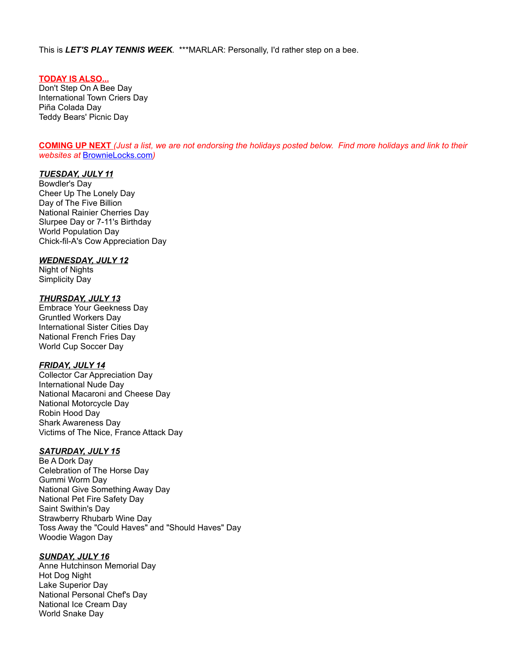This is *LET'S PLAY TENNIS WEEK*. \*\*\*MARLAR: Personally, I'd rather step on a bee.

## **TODAY IS ALSO...**

Don't Step On A Bee Day International Town Criers Day Piña Colada Day Teddy Bears' Picnic Day

**COMING UP NEXT** *(Just a list, we are not endorsing the holidays posted below. Find more holidays and link to their websites at* [BrownieLocks.com](https://www.brownielocks.com/month2.html)*)*

#### *TUESDAY, JULY 11*

Bowdler's Day Cheer Up The Lonely Day Day of The Five Billion National Rainier Cherries Day Slurpee Day or 7-11's Birthday World Population Day Chick-fil-A's Cow Appreciation Day

#### *WEDNESDAY, JULY 12*

Night of Nights Simplicity Day

## *THURSDAY, JULY 13*

Embrace Your Geekness Day Gruntled Workers Day International Sister Cities Day National French Fries Day World Cup Soccer Day

## *FRIDAY, JULY 14*

Collector Car Appreciation Day International Nude Day National Macaroni and Cheese Day National Motorcycle Day Robin Hood Day Shark Awareness Day Victims of The Nice, France Attack Day

## *SATURDAY, JULY 15*

Be A Dork Day Celebration of The Horse Day Gummi Worm Day National Give Something Away Day National Pet Fire Safety Day Saint Swithin's Day Strawberry Rhubarb Wine Day Toss Away the "Could Haves" and "Should Haves" Day Woodie Wagon Day

## *SUNDAY, JULY 16*

Anne Hutchinson Memorial Day Hot Dog Night Lake Superior Day National Personal Chef's Day National Ice Cream Day World Snake Day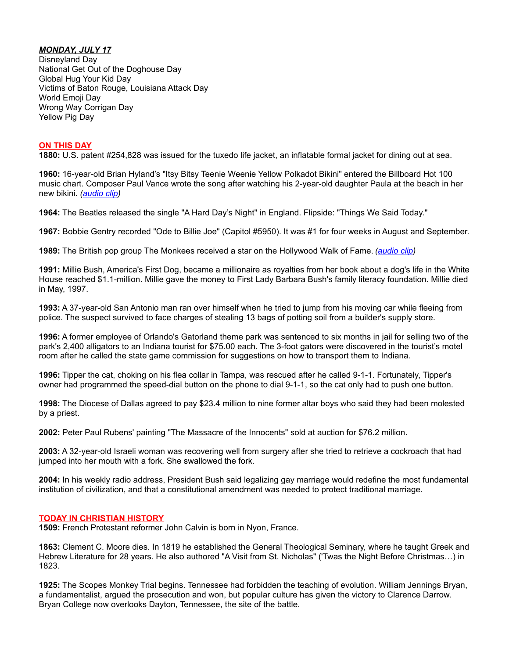# *MONDAY, JULY 17*

Disneyland Day National Get Out of the Doghouse Day Global Hug Your Kid Day Victims of Baton Rouge, Louisiana Attack Day World Emoji Day Wrong Way Corrigan Day Yellow Pig Day

## **ON THIS DAY**

**1880:** U.S. patent #254,828 was issued for the tuxedo life jacket, an inflatable formal jacket for dining out at sea.

**1960:** 16-year-old Brian Hyland's "Itsy Bitsy Teenie Weenie Yellow Polkadot Bikini" entered the Billboard Hot 100 music chart. Composer Paul Vance wrote the song after watching his 2-year-old daughter Paula at the beach in her new bikini. *[\(audio clip\)](http://www.darrenmarlar.com/audio/ItsyBitsyTeenyWeenyYellowPolkaDotBikini.mp3)*

**1964:** The Beatles released the single "A Hard Day's Night" in England. Flipside: "Things We Said Today."

**1967:** Bobbie Gentry recorded "Ode to Billie Joe" (Capitol #5950). It was #1 for four weeks in August and September.

**1989:** The British pop group The Monkees received a star on the Hollywood Walk of Fame. *[\(audio clip\)](http://www.darrenmarlar.com/audio/TV-Monkees.mp3)*

**1991:** Millie Bush, America's First Dog, became a millionaire as royalties from her book about a dog's life in the White House reached \$1.1-million. Millie gave the money to First Lady Barbara Bush's family literacy foundation. Millie died in May, 1997.

**1993:** A 37-year-old San Antonio man ran over himself when he tried to jump from his moving car while fleeing from police. The suspect survived to face charges of stealing 13 bags of potting soil from a builder's supply store.

**1996:** A former employee of Orlando's Gatorland theme park was sentenced to six months in jail for selling two of the park's 2,400 alligators to an Indiana tourist for \$75.00 each. The 3-foot gators were discovered in the tourist's motel room after he called the state game commission for suggestions on how to transport them to Indiana.

**1996:** Tipper the cat, choking on his flea collar in Tampa, was rescued after he called 9-1-1. Fortunately, Tipper's owner had programmed the speed-dial button on the phone to dial 9-1-1, so the cat only had to push one button.

**1998:** The Diocese of Dallas agreed to pay \$23.4 million to nine former altar boys who said they had been molested by a priest.

**2002:** Peter Paul Rubens' painting "The Massacre of the Innocents" sold at auction for \$76.2 million.

**2003:** A 32-year-old Israeli woman was recovering well from surgery after she tried to retrieve a cockroach that had jumped into her mouth with a fork. She swallowed the fork.

**2004:** In his weekly radio address, President Bush said legalizing gay marriage would redefine the most fundamental institution of civilization, and that a constitutional amendment was needed to protect traditional marriage.

## **TODAY IN CHRISTIAN HISTORY**

**1509:** French Protestant reformer John Calvin is born in Nyon, France.

**1863:** Clement C. Moore dies. In 1819 he established the General Theological Seminary, where he taught Greek and Hebrew Literature for 28 years. He also authored "A Visit from St. Nicholas" ('Twas the Night Before Christmas…) in 1823.

**1925:** The Scopes Monkey Trial begins. Tennessee had forbidden the teaching of evolution. William Jennings Bryan, a fundamentalist, argued the prosecution and won, but popular culture has given the victory to Clarence Darrow. Bryan College now overlooks Dayton, Tennessee, the site of the battle.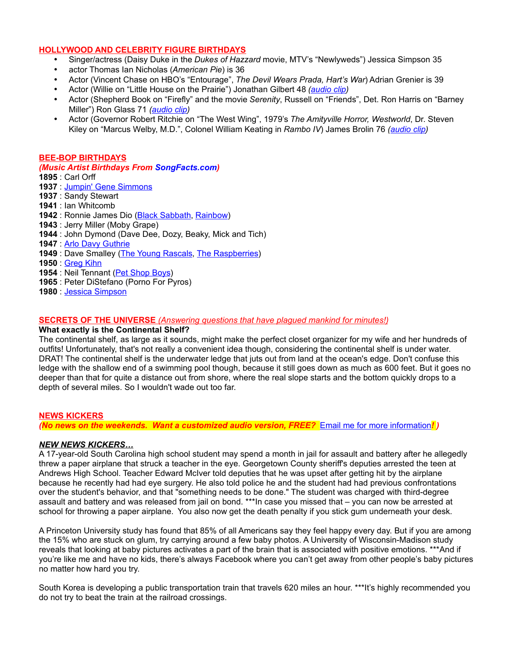# **HOLLYWOOD AND CELEBRITY FIGURE BIRTHDAYS**

- Singer/actress (Daisy Duke in the *Dukes of Hazzard* movie, MTV's "Newlyweds") Jessica Simpson 35
- actor Thomas Ian Nicholas (*American Pie*) is 36
- Actor (Vincent Chase on HBO's "Entourage", *The Devil Wears Prada, Hart's War*) Adrian Grenier is 39
- Actor (Willie on "Little House on the Prairie") Jonathan Gilbert 48 *[\(audio clip\)](http://www.darrenmarlar.com/audio/TV-LittleHouseOnThePrairie.mp3)*
- Actor (Shepherd Book on "Firefly" and the movie *Serenity*, Russell on "Friends", Det. Ron Harris on "Barney Miller") Ron Glass 71 *[\(audio clip\)](http://www.darrenmarlar.com/audio/TV-BarneyMiller.mp3)*
- Actor (Governor Robert Ritchie on "The West Wing", 1979's *The Amityville Horror, Westworld*, Dr. Steven Kiley on "Marcus Welby, M.D.", Colonel William Keating in *Rambo IV*) James Brolin 76 *[\(audio clip\)](http://www.darrenmarlar.com/audio/TV-MarcusWelbyMD.mp3)*

## **BEE-BOP BIRTHDAYS**

## *(Music Artist Birthdays From [SongFacts.com\)](http://calendar.songfacts.com/)*

- **1895** : Carl Orff
- **1937** : [Jumpin' Gene Simmons](http://www.songfacts.com/search_fact.php?combinedartists=Jumpin)
- **1937** : Sandy Stewart
- **1941** : Ian Whitcomb
- **1942** : Ronnie James Dio [\(Black Sabbath,](http://www.artistfacts.com/detail.php?id=48) [Rainbow\)](http://www.songfacts.com/artist:rainbow.php)
- **1943** : Jerry Miller (Moby Grape)
- **1944** : John Dymond (Dave Dee, Dozy, Beaky, Mick and Tich)
- **1947** : [Arlo Davy Guthrie](http://www.songfacts.com/search_fact.php?combinedartists=Arlo+Guthrie)
- **1949** : Dave Smalley [\(The Young Rascals,](http://www.songfacts.com/search_fact.php?combinedartists=Young+Rascals) [The Raspberries\)](http://www.songfacts.com/search_fact.php?combinedartists=Raspberries)
- **1950** : [Greg Kihn](http://www.songfacts.com/artist:greg_kihn.php)
- **1954** : Neil Tennant [\(Pet Shop Boys\)](http://www.songfacts.com/search_fact.php?combinedartists=Pet+Shop+Boys)
- **1965** : Peter DiStefano (Porno For Pyros)
- **1980** : [Jessica Simpson](http://www.songfacts.com/artist:jessica_simpson.php)

## **SECRETS OF THE UNIVERSE** *(Answering questions that have plagued mankind for minutes!)*

## **What exactly is the Continental Shelf?**

The continental shelf, as large as it sounds, might make the perfect closet organizer for my wife and her hundreds of outfits! Unfortunately, that's not really a convenient idea though, considering the continental shelf is under water. DRAT! The continental shelf is the underwater ledge that juts out from land at the ocean's edge. Don't confuse this ledge with the shallow end of a swimming pool though, because it still goes down as much as 600 feet. But it goes no deeper than that for quite a distance out from shore, where the real slope starts and the bottom quickly drops to a depth of several miles. So I wouldn't wade out too far.

## **NEWS KICKERS**

*(No news on the weekends. Want a customized audio version, FREE?* [Email me for more information](mailto:darren@onairprep.com?subject=Customized%20DDWN)*! )*

## *NEW NEWS KICKERS…*

A 17-year-old South Carolina high school student may spend a month in jail for assault and battery after he allegedly threw a paper airplane that struck a teacher in the eye. Georgetown County sheriff's deputies arrested the teen at Andrews High School. Teacher Edward McIver told deputies that he was upset after getting hit by the airplane because he recently had had eye surgery. He also told police he and the student had had previous confrontations over the student's behavior, and that "something needs to be done." The student was charged with third-degree assault and battery and was released from jail on bond. \*\*\*In case you missed that – you can now be arrested at school for throwing a paper airplane. You also now get the death penalty if you stick gum underneath your desk.

A Princeton University study has found that 85% of all Americans say they feel happy every day. But if you are among the 15% who are stuck on glum, try carrying around a few baby photos. A University of Wisconsin-Madison study reveals that looking at baby pictures activates a part of the brain that is associated with positive emotions. \*\*\*And if you're like me and have no kids, there's always Facebook where you can't get away from other people's baby pictures no matter how hard you try.

South Korea is developing a public transportation train that travels 620 miles an hour. \*\*\*It's highly recommended you do not try to beat the train at the railroad crossings.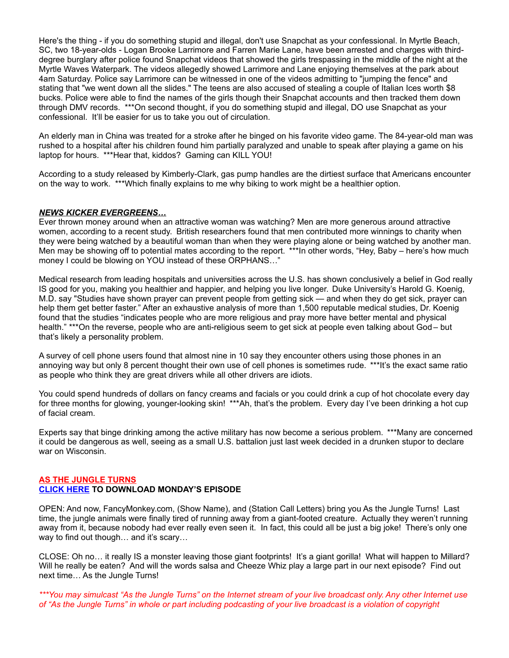Here's the thing - if you do something stupid and illegal, don't use Snapchat as your confessional. In Myrtle Beach, SC, two 18-year-olds - Logan Brooke Larrimore and Farren Marie Lane, have been arrested and charges with thirddegree burglary after police found Snapchat videos that showed the girls trespassing in the middle of the night at the Myrtle Waves Waterpark. The videos allegedly showed Larrimore and Lane enjoying themselves at the park about 4am Saturday. Police say Larrimore can be witnessed in one of the videos admitting to "jumping the fence" and stating that "we went down all the slides." The teens are also accused of stealing a couple of Italian Ices worth \$8 bucks. Police were able to find the names of the girls though their Snapchat accounts and then tracked them down through DMV records. \*\*\*On second thought, if you do something stupid and illegal, DO use Snapchat as your confessional. It'll be easier for us to take you out of circulation.

An elderly man in China was treated for a stroke after he binged on his favorite video game. The 84-year-old man was rushed to a hospital after his children found him partially paralyzed and unable to speak after playing a game on his laptop for hours. \*\*\*Hear that, kiddos? Gaming can KILL YOU!

According to a study released by Kimberly-Clark, gas pump handles are the dirtiest surface that Americans encounter on the way to work. \*\*\*Which finally explains to me why biking to work might be a healthier option.

## *NEWS KICKER EVERGREENS…*

Ever thrown money around when an attractive woman was watching? Men are more generous around attractive women, according to a recent study. British researchers found that men contributed more winnings to charity when they were being watched by a beautiful woman than when they were playing alone or being watched by another man. Men may be showing off to potential mates according to the report. \*\*\*In other words, "Hey, Baby – here's how much money I could be blowing on YOU instead of these ORPHANS…"

Medical research from leading hospitals and universities across the U.S. has shown conclusively a belief in God really IS good for you, making you healthier and happier, and helping you live longer. Duke University's Harold G. Koenig, M.D. say "Studies have shown prayer can prevent people from getting sick — and when they do get sick, prayer can help them get better faster." After an exhaustive analysis of more than 1,500 reputable medical studies, Dr. Koenig found that the studies "indicates people who are more religious and pray more have better mental and physical health." \*\*\*On the reverse, people who are anti-religious seem to get sick at people even talking about God– but that's likely a personality problem.

A survey of cell phone users found that almost nine in 10 say they encounter others using those phones in an annoying way but only 8 percent thought their own use of cell phones is sometimes rude. \*\*\*It's the exact same ratio as people who think they are great drivers while all other drivers are idiots.

You could spend hundreds of dollars on fancy creams and facials or you could drink a cup of hot chocolate every day for three months for glowing, younger-looking skin! \*\*\*Ah, that's the problem. Every day I've been drinking a hot cup of facial cream.

Experts say that binge drinking among the active military has now become a serious problem. \*\*\*Many are concerned it could be dangerous as well, seeing as a small U.S. battalion just last week decided in a drunken stupor to declare war on Wisconsin.

## **AS THE JUNGLE TURNS [CLICK HERE](http://www.darrenmarlar.com/audio/AsTheJungleTurns/MMJJ0108.mp3) TO DOWNLOAD MONDAY'S EPISODE**

OPEN: And now, FancyMonkey.com, (Show Name), and (Station Call Letters) bring you As the Jungle Turns! Last time, the jungle animals were finally tired of running away from a giant-footed creature. Actually they weren't running away from it, because nobody had ever really even seen it. In fact, this could all be just a big joke! There's only one way to find out though... and it's scary...

CLOSE: Oh no… it really IS a monster leaving those giant footprints! It's a giant gorilla! What will happen to Millard? Will he really be eaten? And will the words salsa and Cheeze Whiz play a large part in our next episode? Find out next time… As the Jungle Turns!

*\*\*\*You may simulcast "As the Jungle Turns" on the Internet stream of your live broadcast only. Any other Internet use of "As the Jungle Turns" in whole or part including podcasting of your live broadcast is a violation of copyright*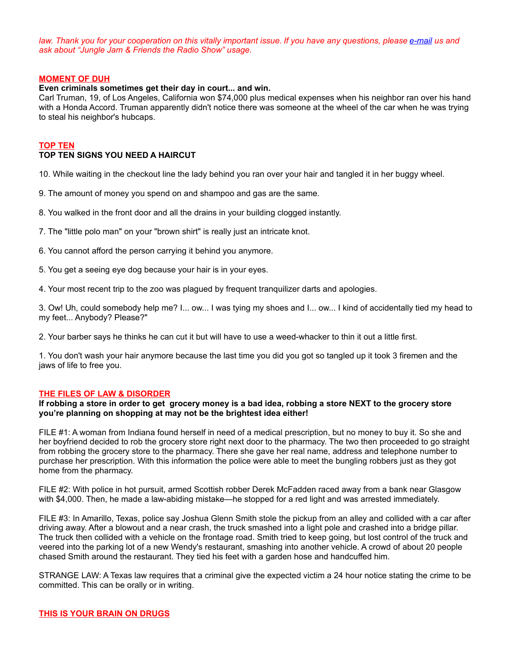*law. Thank you for your cooperation on this vitally important issue. If you have any questions, please [e-mail](mailto:radio@fancymonkey.com?subject=Internet%20Use) us and ask about "Jungle Jam & Friends the Radio Show" usage.*

#### **MOMENT OF DUH**

#### **Even criminals sometimes get their day in court... and win.**

Carl Truman, 19, of Los Angeles, California won \$74,000 plus medical expenses when his neighbor ran over his hand with a Honda Accord. Truman apparently didn't notice there was someone at the wheel of the car when he was trying to steal his neighbor's hubcaps.

#### **TOP TEN**

# **TOP TEN SIGNS YOU NEED A HAIRCUT**

10. While waiting in the checkout line the lady behind you ran over your hair and tangled it in her buggy wheel.

- 9. The amount of money you spend on and shampoo and gas are the same.
- 8. You walked in the front door and all the drains in your building clogged instantly.
- 7. The "little polo man" on your "brown shirt" is really just an intricate knot.
- 6. You cannot afford the person carrying it behind you anymore.
- 5. You get a seeing eye dog because your hair is in your eyes.
- 4. Your most recent trip to the zoo was plagued by frequent tranquilizer darts and apologies.

3. Ow! Uh, could somebody help me? I... ow... I was tying my shoes and I... ow... I kind of accidentally tied my head to my feet... Anybody? Please?"

2. Your barber says he thinks he can cut it but will have to use a weed-whacker to thin it out a little first.

1. You don't wash your hair anymore because the last time you did you got so tangled up it took 3 firemen and the jaws of life to free you.

## **THE FILES OF LAW & DISORDER**

### **If robbing a store in order to get grocery money is a bad idea, robbing a store NEXT to the grocery store you're planning on shopping at may not be the brightest idea either!**

FILE #1: A woman from Indiana found herself in need of a medical prescription, but no money to buy it. So she and her boyfriend decided to rob the grocery store right next door to the pharmacy. The two then proceeded to go straight from robbing the grocery store to the pharmacy. There she gave her real name, address and telephone number to purchase her prescription. With this information the police were able to meet the bungling robbers just as they got home from the pharmacy.

FILE #2: With police in hot pursuit, armed Scottish robber Derek McFadden raced away from a bank near Glasgow with \$4,000. Then, he made a law-abiding mistake—he stopped for a red light and was arrested immediately.

FILE #3: In Amarillo, Texas, police say Joshua Glenn Smith stole the pickup from an alley and collided with a car after driving away. After a blowout and a near crash, the truck smashed into a light pole and crashed into a bridge pillar. The truck then collided with a vehicle on the frontage road. Smith tried to keep going, but lost control of the truck and veered into the parking lot of a new Wendy's restaurant, smashing into another vehicle. A crowd of about 20 people chased Smith around the restaurant. They tied his feet with a garden hose and handcuffed him.

STRANGE LAW: A Texas law requires that a criminal give the expected victim a 24 hour notice stating the crime to be committed. This can be orally or in writing.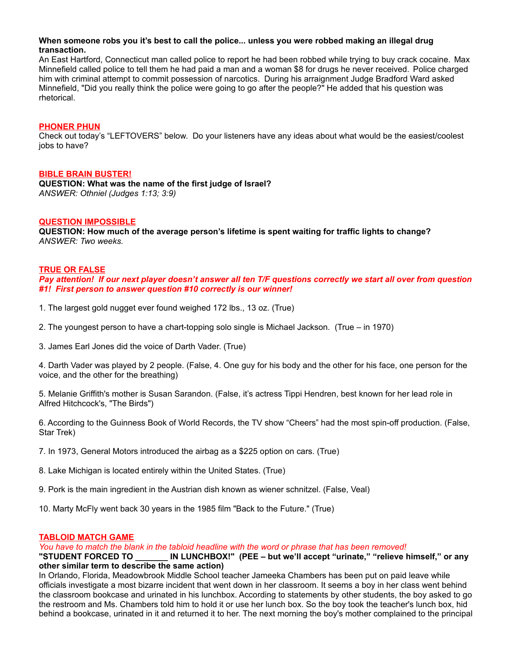## **When someone robs you it's best to call the police... unless you were robbed making an illegal drug transaction.**

An East Hartford, Connecticut man called police to report he had been robbed while trying to buy crack cocaine. Max Minnefield called police to tell them he had paid a man and a woman \$8 for drugs he never received. Police charged him with criminal attempt to commit possession of narcotics. During his arraignment Judge Bradford Ward asked Minnefield, "Did you really think the police were going to go after the people?" He added that his question was rhetorical.

### **PHONER PHUN**

Check out today's "LEFTOVERS" below. Do your listeners have any ideas about what would be the easiest/coolest jobs to have?

#### **BIBLE BRAIN BUSTER!**

**QUESTION: What was the name of the first judge of Israel?** *ANSWER: Othniel (Judges 1:13; 3:9)*

#### **QUESTION IMPOSSIBLE**

**QUESTION: How much of the average person's lifetime is spent waiting for traffic lights to change?** *ANSWER: Two weeks.*

#### **TRUE OR FALSE**

*Pay attention! If our next player doesn't answer all ten T/F questions correctly we start all over from question #1! First person to answer question #10 correctly is our winner!*

- 1. The largest gold nugget ever found weighed 172 lbs., 13 oz. (True)
- 2. The youngest person to have a chart-topping solo single is Michael Jackson. (True in 1970)
- 3. James Earl Jones did the voice of Darth Vader. (True)

4. Darth Vader was played by 2 people. (False, 4. One guy for his body and the other for his face, one person for the voice, and the other for the breathing)

5. Melanie Griffith's mother is Susan Sarandon. (False, it's actress Tippi Hendren, best known for her lead role in Alfred Hitchcock's, "The Birds")

6. According to the Guinness Book of World Records, the TV show "Cheers" had the most spin-off production. (False, Star Trek)

7. In 1973, General Motors introduced the airbag as a \$225 option on cars. (True)

- 8. Lake Michigan is located entirely within the United States. (True)
- 9. Pork is the main ingredient in the Austrian dish known as wiener schnitzel. (False, Veal)
- 10. Marty McFly went back 30 years in the 1985 film "Back to the Future." (True)

## **TABLOID MATCH GAME**

*You have to match the blank in the tabloid headline with the word or phrase that has been removed!*

### **"STUDENT FORCED TO \_\_\_\_\_\_\_ IN LUNCHBOX!" (PEE – but we'll accept "urinate," "relieve himself," or any other similar term to describe the same action)**

In Orlando, Florida, Meadowbrook Middle School teacher Jameeka Chambers has been put on paid leave while officials investigate a most bizarre incident that went down in her classroom. It seems a boy in her class went behind the classroom bookcase and urinated in his lunchbox. According to statements by other students, the boy asked to go the restroom and Ms. Chambers told him to hold it or use her lunch box. So the boy took the teacher's lunch box, hid behind a bookcase, urinated in it and returned it to her. The next morning the boy's mother complained to the principal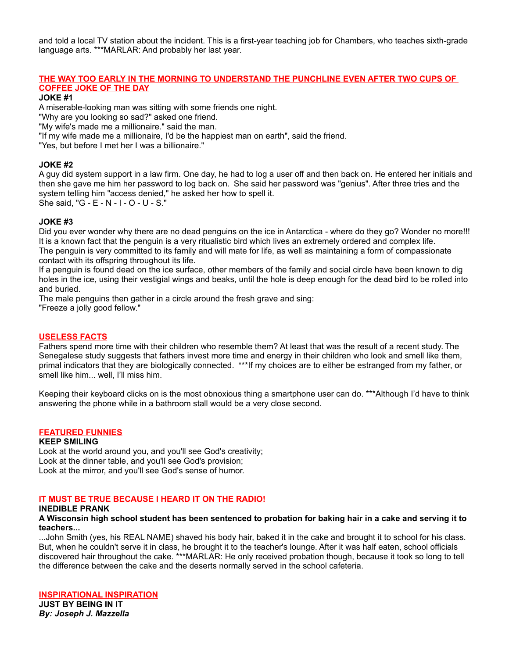and told a local TV station about the incident. This is a first-year teaching job for Chambers, who teaches sixth-grade language arts. \*\*\*MARLAR: And probably her last year.

## **THE WAY TOO EARLY IN THE MORNING TO UNDERSTAND THE PUNCHLINE EVEN AFTER TWO CUPS OF COFFEE JOKE OF THE DAY**

**JOKE #1**

A miserable-looking man was sitting with some friends one night.

"Why are you looking so sad?" asked one friend.

"My wife's made me a millionaire." said the man.

"If my wife made me a millionaire, I'd be the happiest man on earth", said the friend.

"Yes, but before I met her I was a billionaire."

## **JOKE #2**

A guy did system support in a law firm. One day, he had to log a user off and then back on. He entered her initials and then she gave me him her password to log back on. She said her password was "genius". After three tries and the system telling him "access denied," he asked her how to spell it.

She said, "G - E - N - I - O - U - S."

## **JOKE #3**

Did you ever wonder why there are no dead penguins on the ice in Antarctica - where do they go? Wonder no more!!! It is a known fact that the penguin is a very ritualistic bird which lives an extremely ordered and complex life. The penguin is very committed to its family and will mate for life, as well as maintaining a form of compassionate contact with its offspring throughout its life.

If a penguin is found dead on the ice surface, other members of the family and social circle have been known to dig holes in the ice, using their vestigial wings and beaks, until the hole is deep enough for the dead bird to be rolled into and buried.

The male penguins then gather in a circle around the fresh grave and sing:

"Freeze a jolly good fellow."

## **USELESS FACTS**

Fathers spend more time with their children who resemble them? At least that was the result of a recent study. The Senegalese study suggests that fathers invest more time and energy in their children who look and smell like them, primal indicators that they are biologically connected. \*\*\*If my choices are to either be estranged from my father, or smell like him... well, I'll miss him.

Keeping their keyboard clicks on is the most obnoxious thing a smartphone user can do. \*\*\*Although I'd have to think answering the phone while in a bathroom stall would be a very close second.

## **FEATURED FUNNIES**

## **KEEP SMILING**

Look at the world around you, and you'll see God's creativity; Look at the dinner table, and you'll see God's provision; Look at the mirror, and you'll see God's sense of humor.

## **IT MUST BE TRUE BECAUSE I HEARD IT ON THE RADIO!**

## **INEDIBLE PRANK**

#### **A Wisconsin high school student has been sentenced to probation for baking hair in a cake and serving it to teachers...**

...John Smith (yes, his REAL NAME) shaved his body hair, baked it in the cake and brought it to school for his class. But, when he couldn't serve it in class, he brought it to the teacher's lounge. After it was half eaten, school officials discovered hair throughout the cake. \*\*\*MARLAR: He only received probation though, because it took so long to tell the difference between the cake and the deserts normally served in the school cafeteria.

## **INSPIRATIONAL INSPIRATION**

**JUST BY BEING IN IT** *By: Joseph J. Mazzella*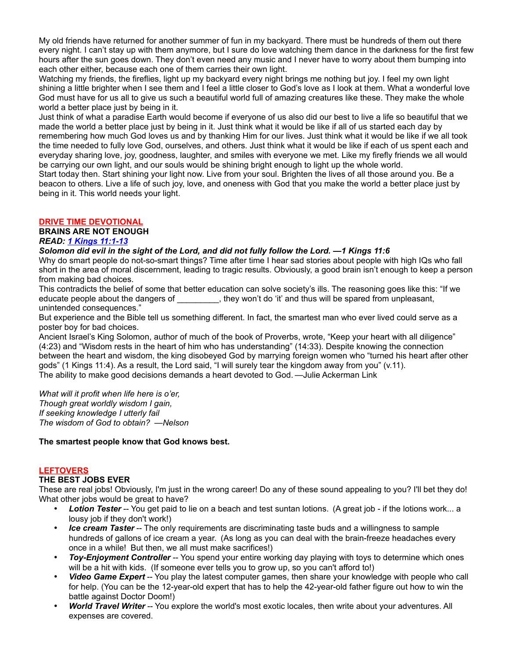My old friends have returned for another summer of fun in my backyard. There must be hundreds of them out there every night. I can't stay up with them anymore, but I sure do love watching them dance in the darkness for the first few hours after the sun goes down. They don't even need any music and I never have to worry about them bumping into each other either, because each one of them carries their own light.

Watching my friends, the fireflies, light up my backyard every night brings me nothing but joy. I feel my own light shining a little brighter when I see them and I feel a little closer to God's love as I look at them. What a wonderful love God must have for us all to give us such a beautiful world full of amazing creatures like these. They make the whole world a better place just by being in it.

Just think of what a paradise Earth would become if everyone of us also did our best to live a life so beautiful that we made the world a better place just by being in it. Just think what it would be like if all of us started each day by remembering how much God loves us and by thanking Him for our lives. Just think what it would be like if we all took the time needed to fully love God, ourselves, and others. Just think what it would be like if each of us spent each and everyday sharing love, joy, goodness, laughter, and smiles with everyone we met. Like my firefly friends we all would be carrying our own light, and our souls would be shining bright enough to light up the whole world.

Start today then. Start shining your light now. Live from your soul. Brighten the lives of all those around you. Be a beacon to others. Live a life of such joy, love, and oneness with God that you make the world a better place just by being in it. This world needs your light.

# **DRIVE TIME DEVOTIONAL**

**BRAINS ARE NOT ENOUGH**

# *READ: [1 Kings 11:1-13](http://bible.gospelcom.net/bible?language=english&version=NIV&passage=1+Kings+11%3A1-13)*

## *Solomon did evil in the sight of the Lord, and did not fully follow the Lord. —1 Kings 11:6*

Why do smart people do not-so-smart things? Time after time I hear sad stories about people with high IQs who fall short in the area of moral discernment, leading to tragic results. Obviously, a good brain isn't enough to keep a person from making bad choices.

This contradicts the belief of some that better education can solve society's ills. The reasoning goes like this: "If we educate people about the dangers of  $\qquad \qquad$ , they won't do 'it' and thus will be spared from unpleasant, unintended consequences."

But experience and the Bible tell us something different. In fact, the smartest man who ever lived could serve as a poster boy for bad choices.

Ancient Israel's King Solomon, author of much of the book of Proverbs, wrote, "Keep your heart with all diligence" (4:23) and "Wisdom rests in the heart of him who has understanding" (14:33). Despite knowing the connection between the heart and wisdom, the king disobeyed God by marrying foreign women who "turned his heart after other gods" (1 Kings 11:4). As a result, the Lord said, "I will surely tear the kingdom away from you" (v.11). The ability to make good decisions demands a heart devoted to God. —Julie Ackerman Link

*What will it profit when life here is o'er, Though great worldly wisdom I gain, If seeking knowledge I utterly fail The wisdom of God to obtain? —Nelson*

## **The smartest people know that God knows best.**

## **LEFTOVERS**

## **THE BEST JOBS EVER**

These are real jobs! Obviously, I'm just in the wrong career! Do any of these sound appealing to you? I'll bet they do! What other jobs would be great to have?

- *Lotion Tester* -- You get paid to lie on a beach and test suntan lotions. (A great job if the lotions work... a lousy job if they don't work!)
- *Ice cream Taster* -- The only requirements are discriminating taste buds and a willingness to sample hundreds of gallons of ice cream a year. (As long as you can deal with the brain-freeze headaches every once in a while! But then, we all must make sacrifices!)
- **Toy-Enjoyment Controller** -- You spend your entire working day playing with toys to determine which ones will be a hit with kids. (If someone ever tells you to grow up, so you can't afford to!)
- *Video Game Expert* -- You play the latest computer games, then share your knowledge with people who call for help. (You can be the 12-year-old expert that has to help the 42-year-old father figure out how to win the battle against Doctor Doom!)
- *World Travel Writer* -- You explore the world's most exotic locales, then write about your adventures. All expenses are covered.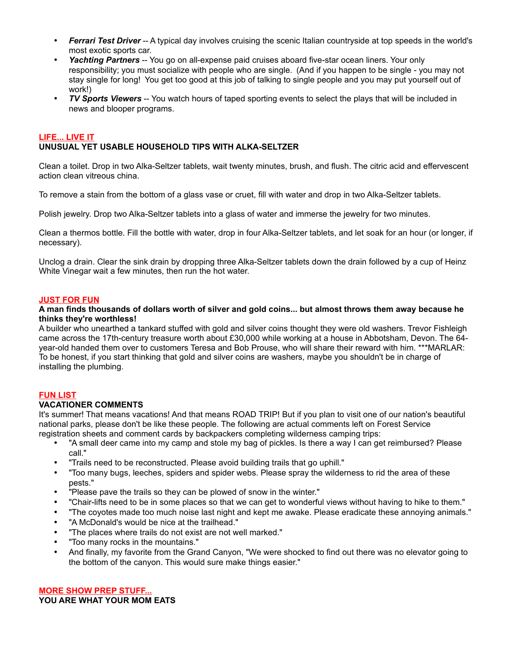- *Ferrari Test Driver* -- A typical day involves cruising the scenic Italian countryside at top speeds in the world's most exotic sports car.
- *Yachting Partners* -- You go on all-expense paid cruises aboard five-star ocean liners. Your only responsibility; you must socialize with people who are single. (And if you happen to be single - you may not stay single for long! You get too good at this job of talking to single people and you may put yourself out of work!)
- *TV Sports Viewers* -- You watch hours of taped sporting events to select the plays that will be included in news and blooper programs.

## **LIFE... LIVE IT UNUSUAL YET USABLE HOUSEHOLD TIPS WITH ALKA-SELTZER**

Clean a toilet. Drop in two Alka-Seltzer tablets, wait twenty minutes, brush, and flush. The citric acid and effervescent action clean vitreous china.

To remove a stain from the bottom of a glass vase or cruet, fill with water and drop in two Alka-Seltzer tablets.

Polish jewelry. Drop two Alka-Seltzer tablets into a glass of water and immerse the jewelry for two minutes.

Clean a thermos bottle. Fill the bottle with water, drop in four Alka-Seltzer tablets, and let soak for an hour (or longer, if necessary).

Unclog a drain. Clear the sink drain by dropping three Alka-Seltzer tablets down the drain followed by a cup of Heinz White Vinegar wait a few minutes, then run the hot water.

## **JUST FOR FUN**

**A man finds thousands of dollars worth of silver and gold coins... but almost throws them away because he thinks they're worthless!**

A builder who unearthed a tankard stuffed with gold and silver coins thought they were old washers. Trevor Fishleigh came across the 17th-century treasure worth about £30,000 while working at a house in Abbotsham, Devon. The 64 year-old handed them over to customers Teresa and Bob Prouse, who will share their reward with him. \*\*\*MARLAR: To be honest, if you start thinking that gold and silver coins are washers, maybe you shouldn't be in charge of installing the plumbing.

## **FUN LIST**

## **VACATIONER COMMENTS**

It's summer! That means vacations! And that means ROAD TRIP! But if you plan to visit one of our nation's beautiful national parks, please don't be like these people. The following are actual comments left on Forest Service registration sheets and comment cards by backpackers completing wilderness camping trips:

- "A small deer came into my camp and stole my bag of pickles. Is there a way I can get reimbursed? Please call."
- "Trails need to be reconstructed. Please avoid building trails that go uphill."
- "Too many bugs, leeches, spiders and spider webs. Please spray the wilderness to rid the area of these pests."
- "Please pave the trails so they can be plowed of snow in the winter."
- "Chair-lifts need to be in some places so that we can get to wonderful views without having to hike to them."
- "The coyotes made too much noise last night and kept me awake. Please eradicate these annoying animals."
- "A McDonald's would be nice at the trailhead."
- "The places where trails do not exist are not well marked."
- "Too many rocks in the mountains."
- And finally, my favorite from the Grand Canyon, "We were shocked to find out there was no elevator going to the bottom of the canyon. This would sure make things easier."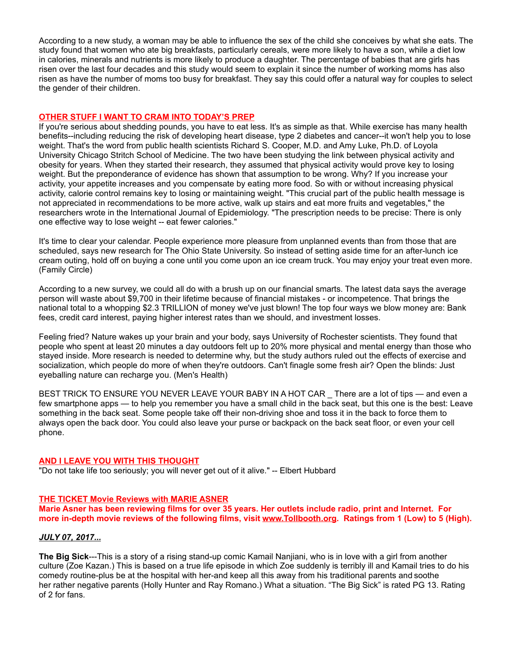According to a new study, a woman may be able to influence the sex of the child she conceives by what she eats. The study found that women who ate big breakfasts, particularly cereals, were more likely to have a son, while a diet low in calories, minerals and nutrients is more likely to produce a daughter. The percentage of babies that are girls has risen over the last four decades and this study would seem to explain it since the number of working moms has also risen as have the number of moms too busy for breakfast. They say this could offer a natural way for couples to select the gender of their children.

## **OTHER STUFF I WANT TO CRAM INTO TODAY'S PREP**

If you're serious about shedding pounds, you have to eat less. It's as simple as that. While exercise has many health benefits--including reducing the risk of developing heart disease, type 2 diabetes and cancer--it won't help you to lose weight. That's the word from public health scientists Richard S. Cooper, M.D. and Amy Luke, Ph.D. of Loyola University Chicago Stritch School of Medicine. The two have been studying the link between physical activity and obesity for years. When they started their research, they assumed that physical activity would prove key to losing weight. But the preponderance of evidence has shown that assumption to be wrong. Why? If you increase your activity, your appetite increases and you compensate by eating more food. So with or without increasing physical activity, calorie control remains key to losing or maintaining weight. "This crucial part of the public health message is not appreciated in recommendations to be more active, walk up stairs and eat more fruits and vegetables," the researchers wrote in the International Journal of Epidemiology. "The prescription needs to be precise: There is only one effective way to lose weight -- eat fewer calories."

It's time to clear your calendar. People experience more pleasure from unplanned events than from those that are scheduled, says new research for The Ohio State University. So instead of setting aside time for an after-lunch ice cream outing, hold off on buying a cone until you come upon an ice cream truck. You may enjoy your treat even more. (Family Circle)

According to a new survey, we could all do with a brush up on our financial smarts. The latest data says the average person will waste about \$9,700 in their lifetime because of financial mistakes - or incompetence. That brings the national total to a whopping \$2.3 TRILLION of money we've just blown! The top four ways we blow money are: Bank fees, credit card interest, paying higher interest rates than we should, and investment losses.

Feeling fried? Nature wakes up your brain and your body, says University of Rochester scientists. They found that people who spent at least 20 minutes a day outdoors felt up to 20% more physical and mental energy than those who stayed inside. More research is needed to determine why, but the study authors ruled out the effects of exercise and socialization, which people do more of when they're outdoors. Can't finagle some fresh air? Open the blinds: Just eyeballing nature can recharge you. (Men's Health)

BEST TRICK TO ENSURE YOU NEVER LEAVE YOUR BABY IN A HOT CAR There are a lot of tips — and even a few smartphone apps — to help you remember you have a small child in the back seat, but this one is the best: Leave something in the back seat. Some people take off their non-driving shoe and toss it in the back to force them to always open the back door. You could also leave your purse or backpack on the back seat floor, or even your cell phone.

## **AND I LEAVE YOU WITH THIS THOUGHT**

"Do not take life too seriously; you will never get out of it alive." -- Elbert Hubbard

## **THE TICKET Movie Reviews with MARIE ASNER**

**Marie Asner has been reviewing films for over 35 years. Her outlets include radio, print and Internet. For more in-depth movie reviews of the following films, visit [www.Tollbooth.org.](http://www.tollbooth.org/index.php/home/movie-reviews) Ratings from 1 (Low) to 5 (High).**

## *JULY 07, 2017...*

**The Big Sick**---This is a story of a rising stand-up comic Kamail Nanjiani, who is in love with a girl from another culture (Zoe Kazan.) This is based on a true life episode in which Zoe suddenly is terribly ill and Kamail tries to do his comedy routine-plus be at the hospital with her-and keep all this away from his traditional parents and soothe her rather negative parents (Holly Hunter and Ray Romano.) What a situation. "The Big Sick" is rated PG 13. Rating of 2 for fans.